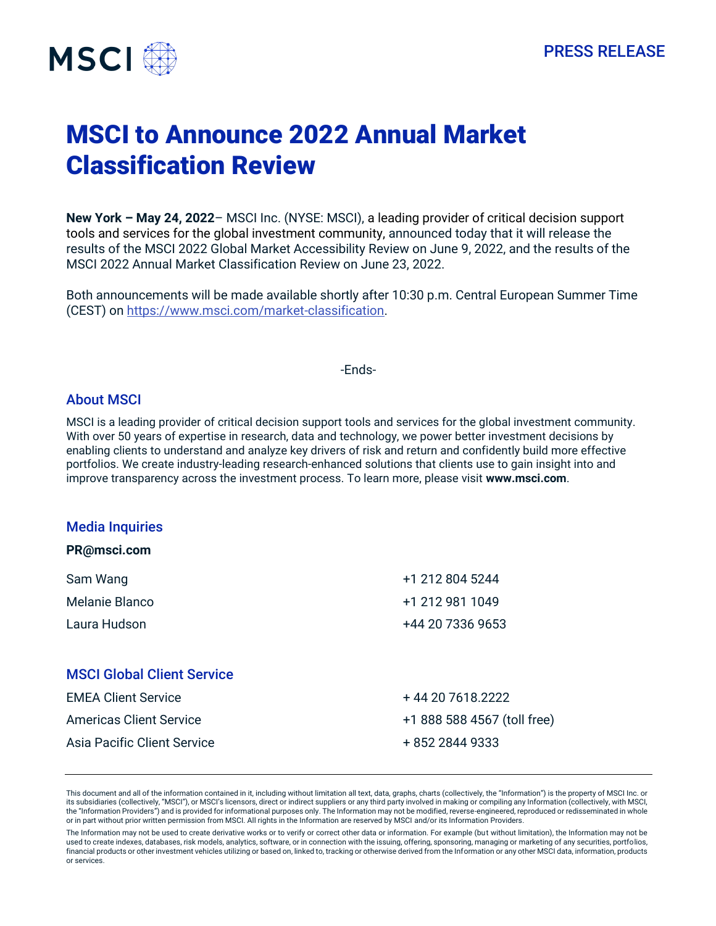

# MSCI to Announce 2022 Annual Market Classification Review

**New York – May 24, 2022**– MSCI Inc. (NYSE: MSCI), a leading provider of critical decision support tools and services for the global investment community, announced today that it will release the results of the MSCI 2022 Global Market Accessibility Review on June 9, 2022, and the results of the MSCI 2022 Annual Market Classification Review on June 23, 2022.

Both announcements will be made available shortly after 10:30 p.m. Central European Summer Time (CEST) on [https://www.msci.com/market-classification.](https://www.msci.com/market-classification)

-Ends-

### About MSCI

MSCI is a leading provider of critical decision support tools and services for the global investment community. With over 50 years of expertise in research, data and technology, we power better investment decisions by enabling clients to understand and analyze key drivers of risk and return and confidently build more effective portfolios. We create industry-leading research-enhanced solutions that clients use to gain insight into and improve transparency across the investment process. To learn more, please visit **[www.msci.com](http://www.msci.com/)**.

#### Media Inquiries

| PR@msci.com |
|-------------|
|-------------|

| Sam Wang       | +1 212 804 5244  |
|----------------|------------------|
| Melanie Blanco | +1 212 981 1049  |
| Laura Hudson   | +44 20 7336 9653 |
|                |                  |

## MSCI Global Client Service

| <b>EMEA Client Service</b>  | + 44 20 7618.2222           |
|-----------------------------|-----------------------------|
| Americas Client Service     | +1 888 588 4567 (toll free) |
| Asia Pacific Client Service | + 852 2844 9333             |

This document and all of the information contained in it, including without limitation all text, data, graphs, charts (collectively, the "Information") is the property of MSCI Inc. or its subsidiaries (collectively, "MSCI"), or MSCI's licensors, direct or indirect suppliers or any third party involved in making or compiling any Information (collectively, with MSCI, the "Information Providers") and is provided for informational purposes only. The Information may not be modified, reverse-engineered, reproduced or redisseminated in whole or in part without prior written permission from MSCI. All rights in the Information are reserved by MSCI and/or its Information Providers.

The Information may not be used to create derivative works or to verify or correct other data or information. For example (but without limitation), the Information may not be used to create indexes, databases, risk models, analytics, software, or in connection with the issuing, offering, sponsoring, managing or marketing of any securities, portfolios, financial products or other investment vehicles utilizing or based on, linked to, tracking or otherwise derived from the Information or any other MSCI data, information, products or services.